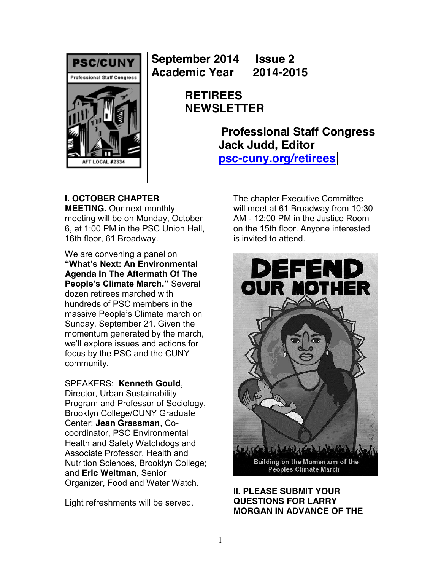

**September 2014 Issue 2 Academic Year 2014-2015**

> **RETIREES NEWSLETTER**

> > **Professional Staff Congress Jack Judd, Editor [psc-cuny.org/retirees](http://www.psc-cuny.org/retirees)**

## **I. OCTOBER CHAPTER**

**MEETING.** Our next monthly meeting will be on Monday, October 6, at 1:00 PM in the PSC Union Hall, 16th floor, 61 Broadway.

We are convening a panel on **"What's Next: An Environmental Agenda In The Aftermath Of The**  People's Climate March." Several dozen retirees marched with hundreds of PSC members in the massive People's Climate march on Sunday, September 21. Given the momentum generated by the march, we'll explore issues and actions for focus by the PSC and the CUNY community.

SPEAKERS: **Kenneth Gould**, Director, Urban Sustainability Program and Professor of Sociology, Brooklyn College/CUNY Graduate Center; **Jean Grassman**, Cocoordinator, PSC Environmental Health and Safety Watchdogs and Associate Professor, Health and Nutrition Sciences, Brooklyn College; and **Eric Weltman**, Senior Organizer, Food and Water Watch.

Light refreshments will be served.

The chapter Executive Committee will meet at 61 Broadway from 10:30 AM - 12:00 PM in the Justice Room on the 15th floor. Anyone interested is invited to attend.



## **II. PLEASE SUBMIT YOUR QUESTIONS FOR LARRY MORGAN IN ADVANCE OF THE**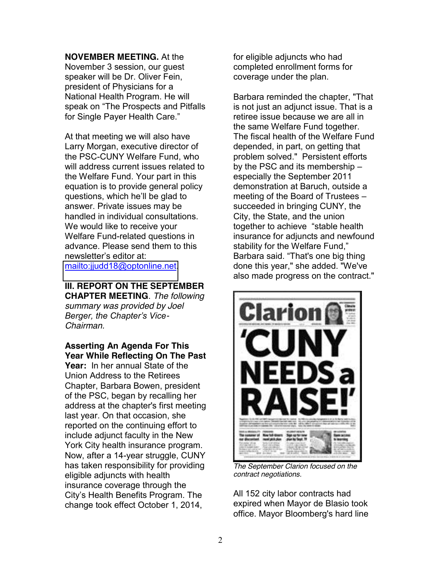## **NOVEMBER MEETING.** At the

November 3 session, our guest speaker will be Dr. Oliver Fein, president of Physicians for a National Health Program. He will speak on "The Prospects and Pitfalls for Single Payer Health Care."

At that meeting we will also have Larry Morgan, executive director of the PSC-CUNY Welfare Fund, who will address current issues related to the Welfare Fund. Your part in this equation is to provide general policy questions, which he'll be glad to answer. Private issues may be handled in individual consultations. We would like to receive your Welfare Fund-related questions in advance. Please send them to this newsletter's editor at: [mailto:jjudd18@optonline.net.](mailto:jjudd18@optonline.net)

**III. REPORT ON THE SEPTEMBER CHAPTER MEETING**. *The following summary was provided by Joel Berger, the Chapter's Vice-Chairman.*

**Asserting An Agenda For This Year While Reflecting On The Past Year:** In her annual State of the Union Address to the Retirees Chapter, Barbara Bowen, president of the PSC, began by recalling her address at the chapter's first meeting last year. On that occasion, she reported on the continuing effort to include adjunct faculty in the New York City health insurance program. Now, after a 14-year struggle, CUNY has taken responsibility for providing eligible adjuncts with health insurance coverage through the City's Health Benefits Program. The change took effect October 1, 2014,

for eligible adjuncts who had completed enrollment forms for coverage under the plan.

Barbara reminded the chapter, "That is not just an adjunct issue. That is a retiree issue because we are all in the same Welfare Fund together. The fiscal health of the Welfare Fund depended, in part, on getting that problem solved." Persistent efforts by the PSC and its membership  $$ especially the September 2011 demonstration at Baruch, outside a meeting of the Board of Trustees  $$ succeeded in bringing CUNY, the City, the State, and the union together to achieve "stable health insurance for adjuncts and newfound stability for the Welfare Fund," Barbara said. "That's one big thing done this year," she added. "We've also made progress on the contract."



*The September Clarion focused on the contract negotiations.*

All 152 city labor contracts had expired when Mayor de Blasio took office. Mayor Bloomberg's hard line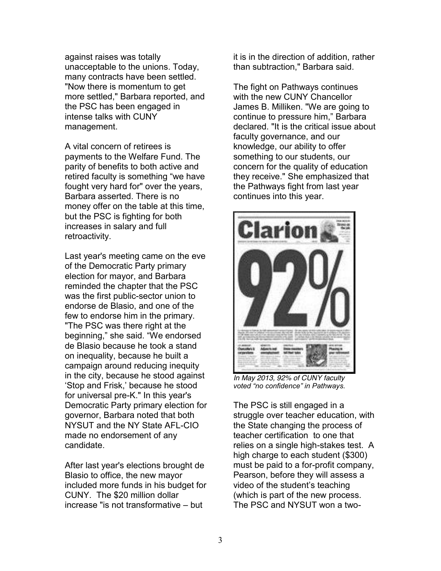against raises was totally unacceptable to the unions. Today, many contracts have been settled. "Now there is momentum to get more settled," Barbara reported, and the PSC has been engaged in intense talks with CUNY management.

A vital concern of retirees is payments to the Welfare Fund. The parity of benefits to both active and retired faculty is something "we have fought very hard for" over the years, Barbara asserted. There is no money offer on the table at this time, but the PSC is fighting for both increases in salary and full retroactivity.

Last year's meeting came on the eve of the Democratic Party primary election for mayor, and Barbara reminded the chapter that the PSC was the first public-sector union to endorse de Blasio, and one of the few to endorse him in the primary. "The PSC was there right at the beginning," she said. "We endorsed de Blasio because he took a stand on inequality, because he built a campaign around reducing inequity in the city, because he stood against 'Stop and Frisk,' because he stood for universal pre-K." In this year's Democratic Party primary election for governor, Barbara noted that both NYSUT and the NY State AFL-CIO made no endorsement of any candidate.

After last year's elections brought de Blasio to office, the new mayor included more funds in his budget for CUNY. The \$20 million dollar increase "is not transformative  $-$  but

it is in the direction of addition, rather than subtraction," Barbara said.

The fight on Pathways continues with the new CUNY Chancellor James B. Milliken. "We are going to continue to pressure him," Barbara declared. "It is the critical issue about faculty governance, and our knowledge, our ability to offer something to our students, our concern for the quality of education they receive." She emphasized that the Pathways fight from last year continues into this year.



*In May 2013, 92% of CUNY faculty Voted* "no confidence" in Pathways.

The PSC is still engaged in a struggle over teacher education, with the State changing the process of teacher certification to one that relies on a single high-stakes test. A high charge to each student (\$300) must be paid to a for-profit company, Pearson, before they will assess a video of the student's teaching (which is part of the new process. The PSC and NYSUT won a two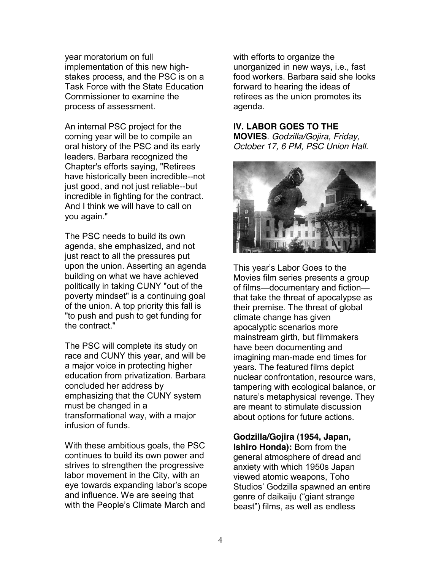year moratorium on full implementation of this new highstakes process, and the PSC is on a Task Force with the State Education Commissioner to examine the process of assessment.

An internal PSC project for the coming year will be to compile an oral history of the PSC and its early leaders. Barbara recognized the Chapter's efforts saying, "Retirees have historically been incredible--not just good, and not just reliable--but incredible in fighting for the contract. And I think we will have to call on you again."

The PSC needs to build its own agenda, she emphasized, and not just react to all the pressures put upon the union. Asserting an agenda building on what we have achieved politically in taking CUNY "out of the poverty mindset" is a continuing goal of the union. A top priority this fall is "to push and push to get funding for the contract."

The PSC will complete its study on race and CUNY this year, and will be a major voice in protecting higher education from privatization. Barbara concluded her address by emphasizing that the CUNY system must be changed in a transformational way, with a major infusion of funds.

With these ambitious goals, the PSC continues to build its own power and strives to strengthen the progressive labor movement in the City, with an eye towards expanding labor's scope and influence. We are seeing that with the People's Climate March and

with efforts to organize the unorganized in new ways, i.e., fast food workers. Barbara said she looks forward to hearing the ideas of retirees as the union promotes its agenda.

## **IV. LABOR GOES TO THE**

**MOVIES**. *Godzilla/Gojira, Friday, October 17, 6 PM, PSC Union Hall.*



This year's Labor Goes to the Movies film series presents a group of films-documentary and fictionthat take the threat of apocalypse as their premise. The threat of global climate change has given apocalyptic scenarios more mainstream girth, but filmmakers have been documenting and imagining man-made end times for years. The featured films depict nuclear confrontation, resource wars, tampering with ecological balance, or nature's metaphysical revenge. They are meant to stimulate discussion about options for future actions.

**Godzilla/Gojira (1954, Japan, Ishiro Honda):** Born from the general atmosphere of dread and anxiety with which 1950s Japan viewed atomic weapons, Toho Studios' Godzilla spawned an entire genre of daikaiju ("giant strange beast") films, as well as endless